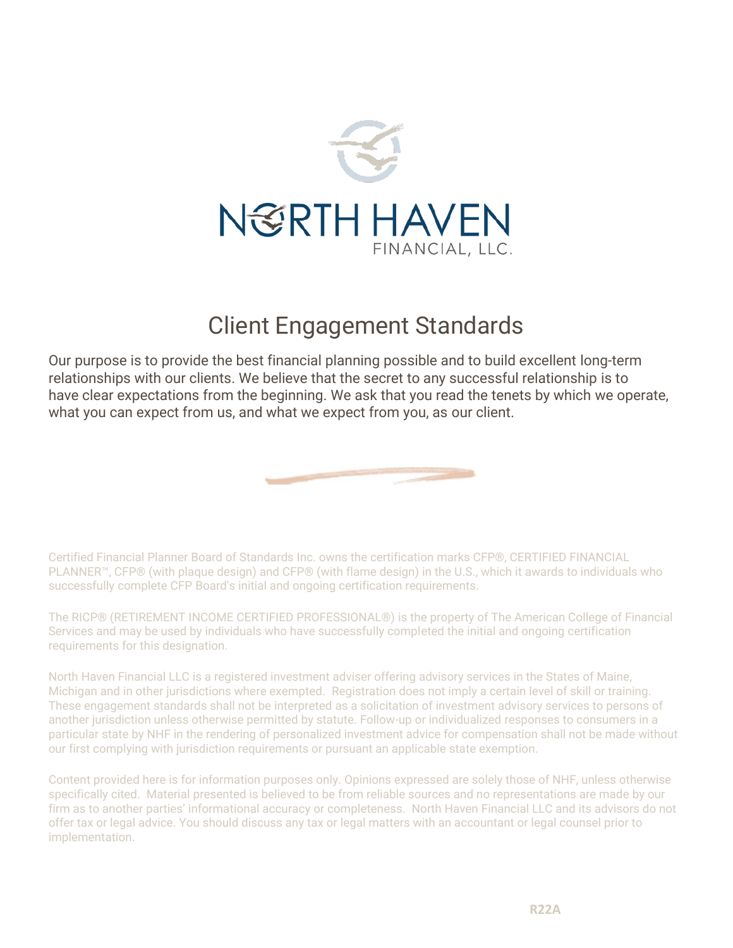

## Client Engagement Standards

Our purpose is to provide the best financial planning possible and to build excellent long-term relationships with our clients. We believe that the secret to any successful relationship is to have clear expectations from the beginning. We ask that you read the tenets by which we operate, what you can expect from us, and what we expect from you, as our client.



Certified Financial Planner Board of Standards Inc. owns the certification marks CFP®, CERTIFIED FINANCIAL PLANNER™, CFP® (with plaque design) and CFP® (with flame design) in the U.S., which it awards to individuals who successfully complete CFP Board's initial and ongoing certification requirements.

The RICP® (RETIREMENT INCOME CERTIFIED PROFESSIONAL®) is the property of The American College of Financial Services and may be used by individuals who have successfully completed the initial and ongoing certification requirements for this designation.

North Haven Financial LLC is a registered investment adviser offering advisory services in the States of Maine, Michigan and in other jurisdictions where exempted. Registration does not imply a certain level of skill or training. These engagement standards shall not be interpreted as a solicitation of investment advisory services to persons of another jurisdiction unless otherwise permitted by statute. Follow-up or individualized responses to consumers in a particular state by NHF in the rendering of personalized investment advice for compensation shall not be made without our first complying with jurisdiction requirements or pursuant an applicable state exemption.

Content provided here is for information purposes only. Opinions expressed are solely those of NHF, unless otherwise specifically cited. Material presented is believed to be from reliable sources and no representations are made by our firm as to another parties' informational accuracy or completeness. North Haven Financial LLC and its advisors do not offer tax or legal advice. You should discuss any tax or legal matters with an accountant or legal counsel prior to implementation.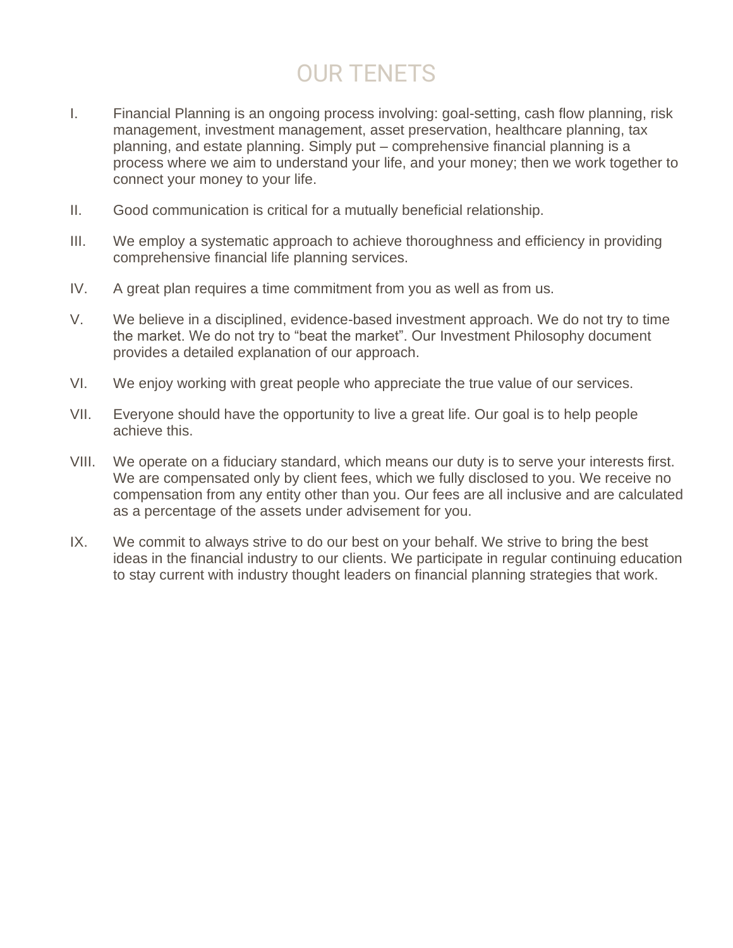## OUR TENETS

- I. Financial Planning is an ongoing process involving: goal-setting, cash flow planning, risk management, investment management, asset preservation, healthcare planning, tax planning, and estate planning. Simply put – comprehensive financial planning is a process where we aim to understand your life, and your money; then we work together to connect your money to your life.
- II. Good communication is critical for a mutually beneficial relationship.
- III. We employ a systematic approach to achieve thoroughness and efficiency in providing comprehensive financial life planning services.
- IV. A great plan requires a time commitment from you as well as from us.
- V. We believe in a disciplined, evidence-based investment approach. We do not try to time the market. We do not try to "beat the market". Our Investment Philosophy document provides a detailed explanation of our approach.
- VI. We enjoy working with great people who appreciate the true value of our services.
- VII. Everyone should have the opportunity to live a great life. Our goal is to help people achieve this.
- VIII. We operate on a fiduciary standard, which means our duty is to serve your interests first. We are compensated only by client fees, which we fully disclosed to you. We receive no compensation from any entity other than you. Our fees are all inclusive and are calculated as a percentage of the assets under advisement for you.
- IX. We commit to always strive to do our best on your behalf. We strive to bring the best ideas in the financial industry to our clients. We participate in regular continuing education to stay current with industry thought leaders on financial planning strategies that work.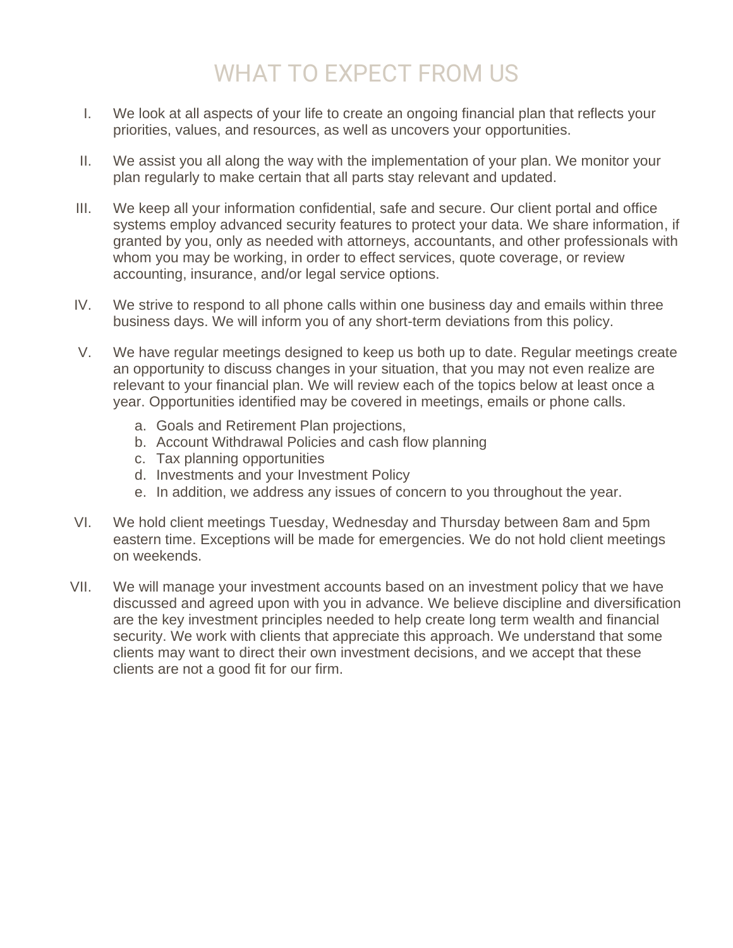## WHAT TO EXPECT FROM US

- I. We look at all aspects of your life to create an ongoing financial plan that reflects your priorities, values, and resources, as well as uncovers your opportunities.
- II. We assist you all along the way with the implementation of your plan. We monitor your plan regularly to make certain that all parts stay relevant and updated.
- III. We keep all your information confidential, safe and secure. Our client portal and office systems employ advanced security features to protect your data. We share information, if granted by you, only as needed with attorneys, accountants, and other professionals with whom you may be working, in order to effect services, quote coverage, or review accounting, insurance, and/or legal service options.
- IV. We strive to respond to all phone calls within one business day and emails within three business days. We will inform you of any short-term deviations from this policy.
- V. We have regular meetings designed to keep us both up to date. Regular meetings create an opportunity to discuss changes in your situation, that you may not even realize are relevant to your financial plan. We will review each of the topics below at least once a year. Opportunities identified may be covered in meetings, emails or phone calls.
	- a. Goals and Retirement Plan projections,
	- b. Account Withdrawal Policies and cash flow planning
	- c. Tax planning opportunities
	- d. Investments and your Investment Policy
	- e. In addition, we address any issues of concern to you throughout the year.
- VI. We hold client meetings Tuesday, Wednesday and Thursday between 8am and 5pm eastern time. Exceptions will be made for emergencies. We do not hold client meetings on weekends.
- VII. We will manage your investment accounts based on an investment policy that we have discussed and agreed upon with you in advance. We believe discipline and diversification are the key investment principles needed to help create long term wealth and financial security. We work with clients that appreciate this approach. We understand that some clients may want to direct their own investment decisions, and we accept that these clients are not a good fit for our firm.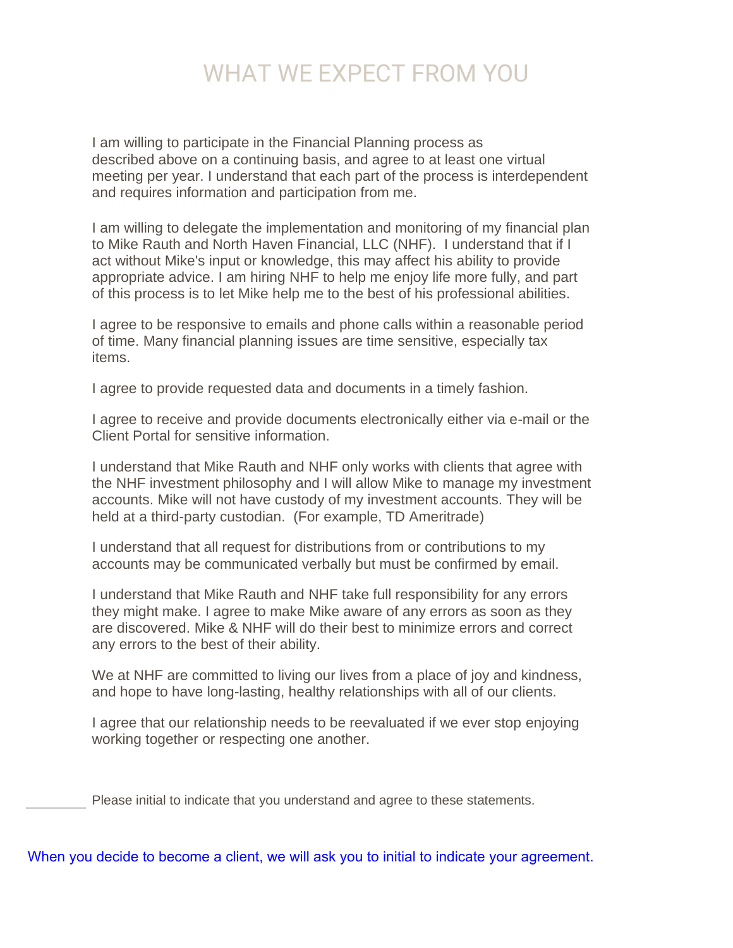## WHAT WE EXPECT FROM YOU

I am willing to participate in the Financial Planning process as described above on a continuing basis, and agree to at least one virtual meeting per year. I understand that each part of the process is interdependent and requires information and participation from me.

I am willing to delegate the implementation and monitoring of my financial plan to Mike Rauth and North Haven Financial, LLC (NHF). I understand that if I act without Mike's input or knowledge, this may affect his ability to provide appropriate advice. I am hiring NHF to help me enjoy life more fully, and part of this process is to let Mike help me to the best of his professional abilities.

I agree to be responsive to emails and phone calls within a reasonable period of time. Many financial planning issues are time sensitive, especially tax items.

I agree to provide requested data and documents in a timely fashion.

I agree to receive and provide documents electronically either via e-mail or the Client Portal for sensitive information.

I understand that Mike Rauth and NHF only works with clients that agree with the NHF investment philosophy and I will allow Mike to manage my investment accounts. Mike will not have custody of my investment accounts. They will be held at a third-party custodian. (For example, TD Ameritrade)

I understand that all request for distributions from or contributions to my accounts may be communicated verbally but must be confirmed by email.

I understand that Mike Rauth and NHF take full responsibility for any errors they might make. I agree to make Mike aware of any errors as soon as they are discovered. Mike & NHF will do their best to minimize errors and correct any errors to the best of their ability.

We at NHF are committed to living our lives from a place of joy and kindness, and hope to have long-lasting, healthy relationships with all of our clients.

I agree that our relationship needs to be reevaluated if we ever stop enjoying working together or respecting one another.

Please initial to indicate that you understand and agree to these statements.

When you decide to become a client, we will ask you to initial to indicate your agreement.